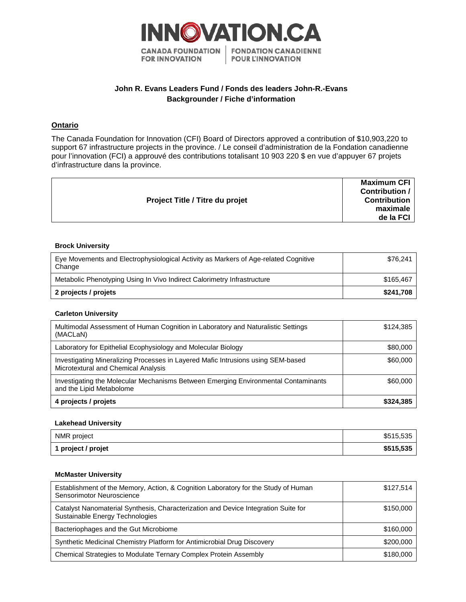

# **John R. Evans Leaders Fund / Fonds des leaders John-R.-Evans Backgrounder / Fiche d'information**

## **Ontario**

The Canada Foundation for Innovation (CFI) Board of Directors approved a contribution of \$10,903,220 to support 67 infrastructure projects in the province. / Le conseil d'administration de la Fondation canadienne pour l'innovation (FCI) a approuvé des contributions totalisant 10 903 220 \$ en vue d'appuyer 67 projets d'infrastructure dans la province.

|                                        | Maximum CFI         |
|----------------------------------------|---------------------|
|                                        | Contribution /      |
| <b>Project Title / Titre du projet</b> | <b>Contribution</b> |
|                                        | maximale            |
|                                        | de la FCI           |
|                                        |                     |

#### **Brock University**

| Eye Movements and Electrophysiological Activity as Markers of Age-related Cognitive<br>Change | \$76.241  |
|-----------------------------------------------------------------------------------------------|-----------|
| Metabolic Phenotyping Using In Vivo Indirect Calorimetry Infrastructure                       | \$165.467 |
| 2 projects / projets                                                                          | \$241.708 |

#### **Carleton University**

| Multimodal Assessment of Human Cognition in Laboratory and Naturalistic Settings<br>(MACLaN)                            | \$124,385 |
|-------------------------------------------------------------------------------------------------------------------------|-----------|
| Laboratory for Epithelial Ecophysiology and Molecular Biology                                                           | \$80,000  |
| Investigating Mineralizing Processes in Layered Mafic Intrusions using SEM-based<br>Microtextural and Chemical Analysis | \$60,000  |
| Investigating the Molecular Mechanisms Between Emerging Environmental Contaminants<br>and the Lipid Metabolome          | \$60,000  |
| 4 projects / projets                                                                                                    | \$324,385 |

### **Lakehead University**

| NMR project        | \$515,535 |
|--------------------|-----------|
| 1 project / projet | \$515,535 |

#### **McMaster University**

| Establishment of the Memory, Action, & Cognition Laboratory for the Study of Human<br>Sensorimotor Neuroscience       | \$127.514 |
|-----------------------------------------------------------------------------------------------------------------------|-----------|
| Catalyst Nanomaterial Synthesis, Characterization and Device Integration Suite for<br>Sustainable Energy Technologies | \$150,000 |
| Bacteriophages and the Gut Microbiome                                                                                 | \$160,000 |
| Synthetic Medicinal Chemistry Platform for Antimicrobial Drug Discovery                                               | \$200,000 |
| Chemical Strategies to Modulate Ternary Complex Protein Assembly                                                      | \$180,000 |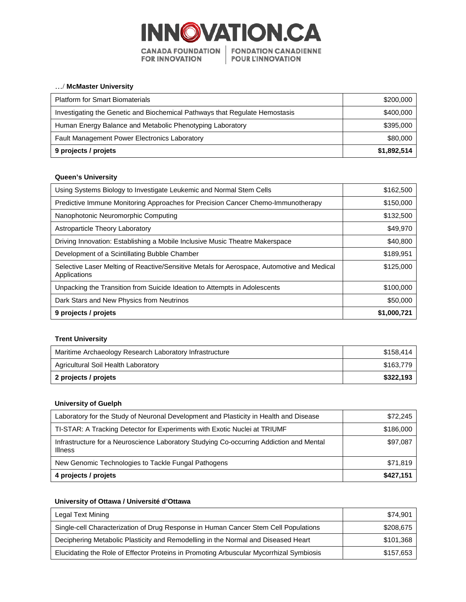

## …/ **McMaster University**

| <b>Platform for Smart Biomaterials</b>                                      | \$200,000   |
|-----------------------------------------------------------------------------|-------------|
| Investigating the Genetic and Biochemical Pathways that Regulate Hemostasis | \$400,000   |
| Human Energy Balance and Metabolic Phenotyping Laboratory                   | \$395,000   |
| <b>Fault Management Power Electronics Laboratory</b>                        | \$80,000    |
| 9 projects / projets                                                        | \$1,892,514 |

#### **Queen's University**

| Using Systems Biology to Investigate Leukemic and Normal Stem Cells                                        | \$162,500   |
|------------------------------------------------------------------------------------------------------------|-------------|
| Predictive Immune Monitoring Approaches for Precision Cancer Chemo-Immunotherapy                           | \$150,000   |
| Nanophotonic Neuromorphic Computing                                                                        | \$132,500   |
| Astroparticle Theory Laboratory                                                                            | \$49,970    |
| Driving Innovation: Establishing a Mobile Inclusive Music Theatre Makerspace                               | \$40,800    |
| Development of a Scintillating Bubble Chamber                                                              | \$189,951   |
| Selective Laser Melting of Reactive/Sensitive Metals for Aerospace, Automotive and Medical<br>Applications | \$125,000   |
| Unpacking the Transition from Suicide Ideation to Attempts in Adolescents                                  | \$100,000   |
| Dark Stars and New Physics from Neutrinos                                                                  | \$50,000    |
| 9 projects / projets                                                                                       | \$1,000,721 |

### **Trent University**

| Maritime Archaeology Research Laboratory Infrastructure | \$158.414 |
|---------------------------------------------------------|-----------|
| Agricultural Soil Health Laboratory                     | \$163,779 |
| 2 projects / projets                                    | \$322,193 |

#### **University of Guelph**

| Laboratory for the Study of Neuronal Development and Plasticity in Health and Disease                     | \$72,245  |
|-----------------------------------------------------------------------------------------------------------|-----------|
| TI-STAR: A Tracking Detector for Experiments with Exotic Nuclei at TRIUMF                                 | \$186,000 |
| Infrastructure for a Neuroscience Laboratory Studying Co-occurring Addiction and Mental<br><b>Illness</b> | \$97,087  |
| New Genomic Technologies to Tackle Fungal Pathogens                                                       | \$71,819  |
| 4 projects / projets                                                                                      | \$427,151 |

### **University of Ottawa / Université d'Ottawa**

| Legal Text Mining                                                                       | \$74.901  |
|-----------------------------------------------------------------------------------------|-----------|
| Single-cell Characterization of Drug Response in Human Cancer Stem Cell Populations     | \$208,675 |
| Deciphering Metabolic Plasticity and Remodelling in the Normal and Diseased Heart       | \$101,368 |
| Elucidating the Role of Effector Proteins in Promoting Arbuscular Mycorrhizal Symbiosis | \$157.653 |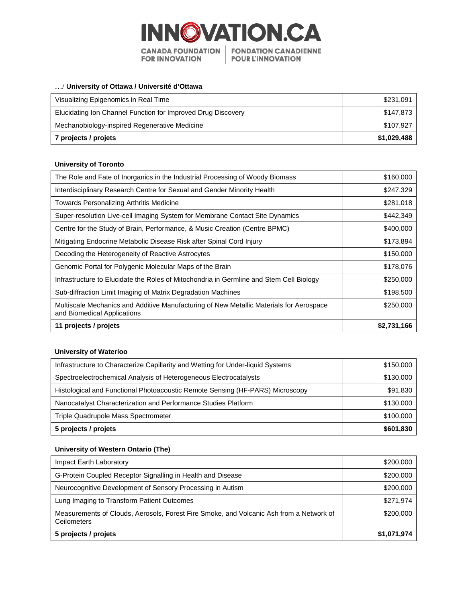

## …/ **University of Ottawa / Université d'Ottawa**

| Visualizing Epigenomics in Real Time                         | \$231,091   |
|--------------------------------------------------------------|-------------|
| Elucidating Ion Channel Function for Improved Drug Discovery | \$147.873   |
| Mechanobiology-inspired Regenerative Medicine                | \$107.927   |
| 7 projects / projets                                         | \$1,029,488 |

#### **University of Toronto**

| The Role and Fate of Inorganics in the Industrial Processing of Woody Biomass                                          | \$160,000   |
|------------------------------------------------------------------------------------------------------------------------|-------------|
| Interdisciplinary Research Centre for Sexual and Gender Minority Health                                                | \$247,329   |
| Towards Personalizing Arthritis Medicine                                                                               | \$281,018   |
| Super-resolution Live-cell Imaging System for Membrane Contact Site Dynamics                                           | \$442,349   |
| Centre for the Study of Brain, Performance, & Music Creation (Centre BPMC)                                             | \$400,000   |
| Mitigating Endocrine Metabolic Disease Risk after Spinal Cord Injury                                                   | \$173,894   |
| Decoding the Heterogeneity of Reactive Astrocytes                                                                      | \$150,000   |
| Genomic Portal for Polygenic Molecular Maps of the Brain                                                               | \$178,076   |
| Infrastructure to Elucidate the Roles of Mitochondria in Germline and Stem Cell Biology                                | \$250,000   |
| Sub-diffraction Limit Imaging of Matrix Degradation Machines                                                           | \$198,500   |
| Multiscale Mechanics and Additive Manufacturing of New Metallic Materials for Aerospace<br>and Biomedical Applications | \$250,000   |
| 11 projects / projets                                                                                                  | \$2,731,166 |

### **University of Waterloo**

| Infrastructure to Characterize Capillarity and Wetting for Under-liquid Systems | \$150,000 |
|---------------------------------------------------------------------------------|-----------|
| Spectroelectrochemical Analysis of Heterogeneous Electrocatalysts               | \$130,000 |
| Histological and Functional Photoacoustic Remote Sensing (HF-PARS) Microscopy   | \$91,830  |
| Nanocatalyst Characterization and Performance Studies Platform                  | \$130,000 |
| Triple Quadrupole Mass Spectrometer                                             | \$100,000 |
| 5 projects / projets                                                            | \$601,830 |

## **University of Western Ontario (The)**

| Impact Earth Laboratory                                                                                | \$200,000   |
|--------------------------------------------------------------------------------------------------------|-------------|
| G-Protein Coupled Receptor Signalling in Health and Disease                                            | \$200,000   |
| Neurocognitive Development of Sensory Processing in Autism                                             | \$200,000   |
| Lung Imaging to Transform Patient Outcomes                                                             | \$271.974   |
| Measurements of Clouds, Aerosols, Forest Fire Smoke, and Volcanic Ash from a Network of<br>Ceilometers | \$200,000   |
| 5 projects / projets                                                                                   | \$1,071,974 |